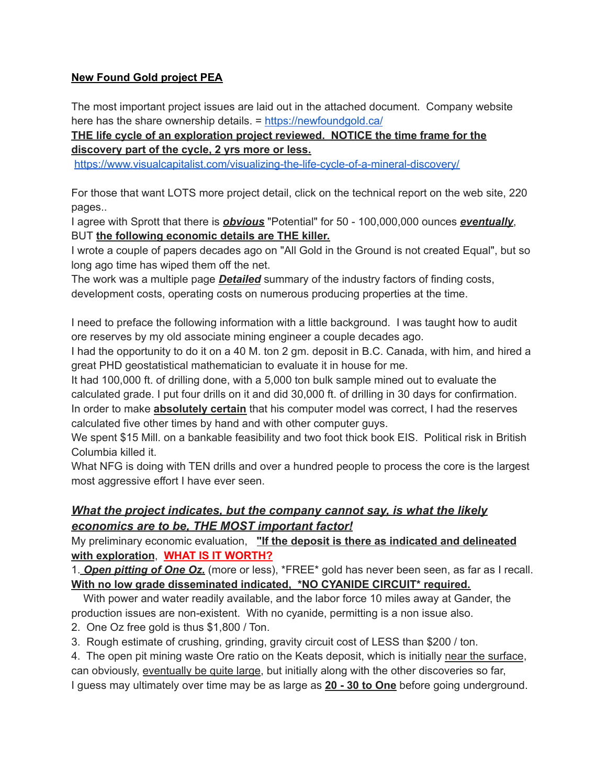## **New Found Gold project PEA**

The most important project issues are laid out in the attached document. Company website here has the share ownership details. = <https://newfoundgold.ca/>

## **THE life cycle of an exploration project reviewed. NOTICE the time frame for the discovery part of the cycle, 2 yrs more or less.**

<https://www.visualcapitalist.com/visualizing-the-life-cycle-of-a-mineral-discovery/>

For those that want LOTS more project detail, click on the technical report on the web site, 220 pages..

I agree with Sprott that there is *obvious* "Potential" for 50 - 100,000,000 ounces *eventually*, BUT **the following economic details are THE killer.**

I wrote a couple of papers decades ago on "All Gold in the Ground is not created Equal", but so long ago time has wiped them off the net.

The work was a multiple page *Detailed* summary of the industry factors of finding costs, development costs, operating costs on numerous producing properties at the time.

I need to preface the following information with a little background. I was taught how to audit ore reserves by my old associate mining engineer a couple decades ago.

I had the opportunity to do it on a 40 M. ton 2 gm. deposit in B.C. Canada, with him, and hired a great PHD geostatistical mathematician to evaluate it in house for me.

It had 100,000 ft. of drilling done, with a 5,000 ton bulk sample mined out to evaluate the calculated grade. I put four drills on it and did 30,000 ft. of drilling in 30 days for confirmation. In order to make **absolutely certain** that his computer model was correct, I had the reserves calculated five other times by hand and with other computer guys.

We spent \$15 Mill. on a bankable feasibility and two foot thick book EIS. Political risk in British Columbia killed it.

What NFG is doing with TEN drills and over a hundred people to process the core is the largest most aggressive effort I have ever seen.

## *What the project indicates, but the company cannot say, is what the likely economics are to be, THE MOST important factor!*

My preliminary economic evaluation, **"If the deposit is there as indicated and delineated with exploration**, **WHAT IS IT WORTH?**

1. *Open pitting of One Oz.* (more or less), \*FREE\* gold has never been seen, as far as I recall. **With no low grade disseminated indicated, \*NO CYANIDE CIRCUIT\* required.**

With power and water readily available, and the labor force 10 miles away at Gander, the production issues are non-existent. With no cyanide, permitting is a non issue also.

2. One Oz free gold is thus \$1,800 / Ton.

3. Rough estimate of crushing, grinding, gravity circuit cost of LESS than \$200 / ton.

4. The open pit mining waste Ore ratio on the Keats deposit, which is initially near the surface, can obviously, eventually be quite large, but initially along with the other discoveries so far, I guess may ultimately over time may be as large as **20 - 30 to One** before going underground.